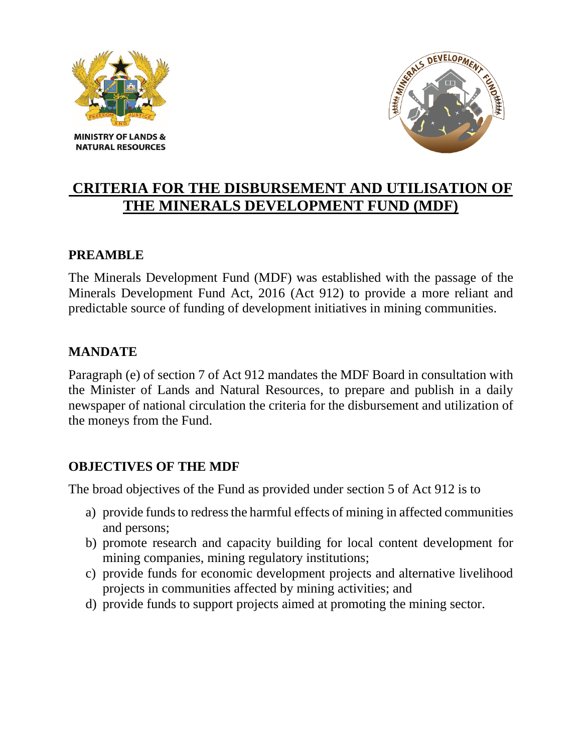



# **CRITERIA FOR THE DISBURSEMENT AND UTILISATION OF THE MINERALS DEVELOPMENT FUND (MDF)**

### **PREAMBLE**

The Minerals Development Fund (MDF) was established with the passage of the Minerals Development Fund Act, 2016 (Act 912) to provide a more reliant and predictable source of funding of development initiatives in mining communities.

### **MANDATE**

Paragraph (e) of section 7 of Act 912 mandates the MDF Board in consultation with the Minister of Lands and Natural Resources, to prepare and publish in a daily newspaper of national circulation the criteria for the disbursement and utilization of the moneys from the Fund.

### **OBJECTIVES OF THE MDF**

The broad objectives of the Fund as provided under section 5 of Act 912 is to

- a) provide funds to redress the harmful effects of mining in affected communities and persons;
- b) promote research and capacity building for local content development for mining companies, mining regulatory institutions;
- c) provide funds for economic development projects and alternative livelihood projects in communities affected by mining activities; and
- d) provide funds to support projects aimed at promoting the mining sector.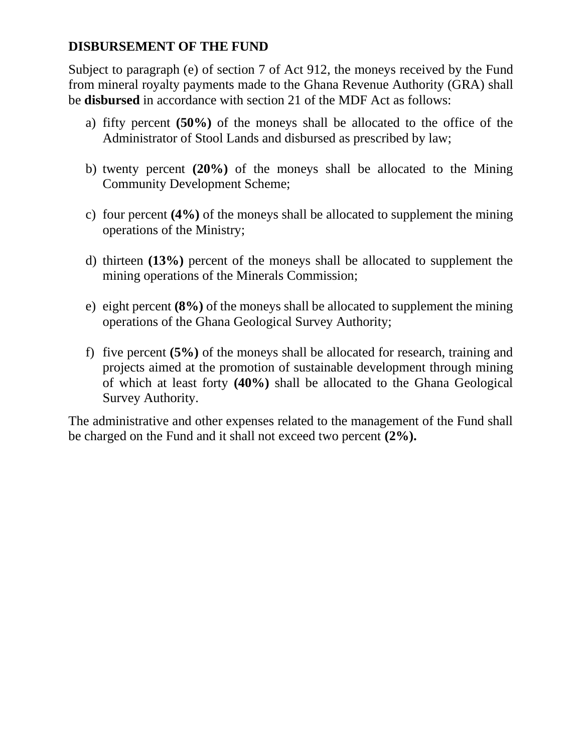### **DISBURSEMENT OF THE FUND**

Subject to paragraph (e) of section 7 of Act 912, the moneys received by the Fund from mineral royalty payments made to the Ghana Revenue Authority (GRA) shall be **disbursed** in accordance with section 21 of the MDF Act as follows:

- a) fifty percent **(50%)** of the moneys shall be allocated to the office of the Administrator of Stool Lands and disbursed as prescribed by law;
- b) twenty percent **(20%)** of the moneys shall be allocated to the Mining Community Development Scheme;
- c) four percent **(4%)** of the moneys shall be allocated to supplement the mining operations of the Ministry;
- d) thirteen **(13%)** percent of the moneys shall be allocated to supplement the mining operations of the Minerals Commission;
- e) eight percent **(8%)** of the moneys shall be allocated to supplement the mining operations of the Ghana Geological Survey Authority;
- f) five percent **(5%)** of the moneys shall be allocated for research, training and projects aimed at the promotion of sustainable development through mining of which at least forty **(40%)** shall be allocated to the Ghana Geological Survey Authority.

The administrative and other expenses related to the management of the Fund shall be charged on the Fund and it shall not exceed two percent **(2%).**